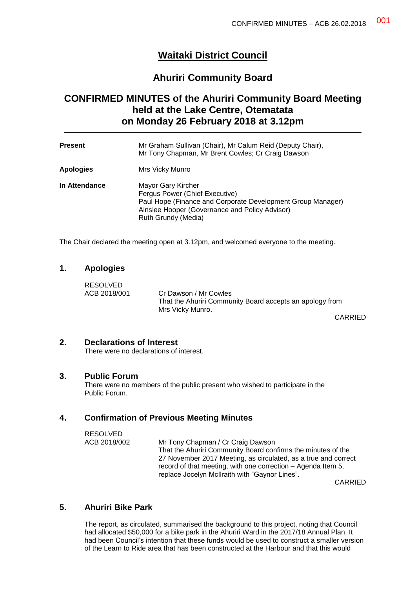## **Waitaki District Council**

### **Ahuriri Community Board**

# **CONFIRMED MINUTES of the Ahuriri Community Board Meeting held at the Lake Centre, Otematata on Monday 26 February 2018 at 3.12pm**

| <b>Present</b>   | Mr Graham Sullivan (Chair), Mr Calum Reid (Deputy Chair),<br>Mr Tony Chapman, Mr Brent Cowles; Cr Craig Dawson                                                                               |
|------------------|----------------------------------------------------------------------------------------------------------------------------------------------------------------------------------------------|
| <b>Apologies</b> | Mrs Vicky Munro                                                                                                                                                                              |
| In Attendance    | Mayor Gary Kircher<br>Fergus Power (Chief Executive)<br>Paul Hope (Finance and Corporate Development Group Manager)<br>Ainslee Hooper (Governance and Policy Advisor)<br>Ruth Grundy (Media) |

The Chair declared the meeting open at 3.12pm, and welcomed everyone to the meeting.

#### **1. Apologies**

RESOLVED ACB 2018/001 Cr Dawson / Mr Cowles That the Ahuriri Community Board accepts an apology from Mrs Vicky Munro.

CARRIED

#### **2. Declarations of Interest**

There were no declarations of interest.

#### **3. Public Forum**

There were no members of the public present who wished to participate in the Public Forum.

#### **4. Confirmation of Previous Meeting Minutes**

| RESOLVED     |                                                                |
|--------------|----------------------------------------------------------------|
| ACB 2018/002 | Mr Tony Chapman / Cr Craig Dawson                              |
|              | That the Ahuriri Community Board confirms the minutes of the   |
|              | 27 November 2017 Meeting, as circulated, as a true and correct |
|              | record of that meeting, with one correction – Agenda Item 5,   |
|              | replace Jocelyn McIlraith with "Gaynor Lines".                 |
|              |                                                                |

CARRIED

#### **5. Ahuriri Bike Park**

The report, as circulated, summarised the background to this project, noting that Council had allocated \$50,000 for a bike park in the Ahuriri Ward in the 2017/18 Annual Plan. It had been Council's intention that these funds would be used to construct a smaller version of the Learn to Ride area that has been constructed at the Harbour and that this would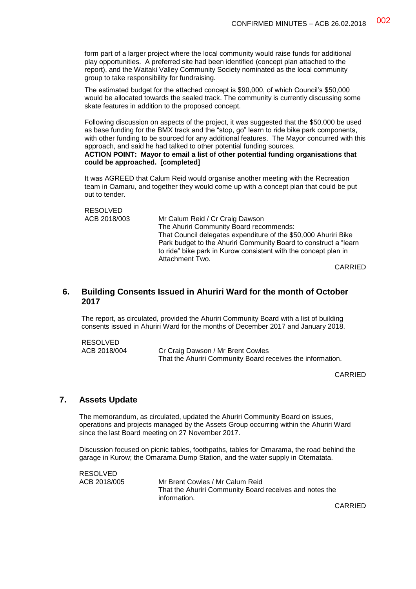form part of a larger project where the local community would raise funds for additional play opportunities. A preferred site had been identified (concept plan attached to the report), and the Waitaki Valley Community Society nominated as the local community group to take responsibility for fundraising.

The estimated budget for the attached concept is \$90,000, of which Council's \$50,000 would be allocated towards the sealed track. The community is currently discussing some skate features in addition to the proposed concept.

Following discussion on aspects of the project, it was suggested that the \$50,000 be used as base funding for the BMX track and the "stop, go" learn to ride bike park components, with other funding to be sourced for any additional features. The Mayor concurred with this approach, and said he had talked to other potential funding sources.

**ACTION POINT: Mayor to email a list of other potential funding organisations that could be approached. [completed]**

It was AGREED that Calum Reid would organise another meeting with the Recreation team in Oamaru, and together they would come up with a concept plan that could be put out to tender.

```
RESOLVED<br>ACB 2018/003
            Mr Calum Reid / Cr Craig Dawson
            The Ahuriri Community Board recommends:
            That Council delegates expenditure of the $50,000 Ahuriri Bike 
            Park budget to the Ahuriri Community Board to construct a "learn 
            to ride" bike park in Kurow consistent with the concept plan in 
            Attachment Two.
```
CARRIED

#### **6. Building Consents Issued in Ahuriri Ward for the month of October 2017**

The report, as circulated, provided the Ahuriri Community Board with a list of building consents issued in Ahuriri Ward for the months of December 2017 and January 2018.

RESOLVED ACB 2018/004 Cr Craig Dawson / Mr Brent Cowles That the Ahuriri Community Board receives the information.

CARRIED

#### **7. Assets Update**

The memorandum, as circulated, updated the Ahuriri Community Board on issues, operations and projects managed by the Assets Group occurring within the Ahuriri Ward since the last Board meeting on 27 November 2017.

Discussion focused on picnic tables, foothpaths, tables for Omarama, the road behind the garage in Kurow; the Omarama Dump Station, and the water supply in Otematata.

RESOLVED ACB 2018/005 Mr Brent Cowles / Mr Calum Reid That the Ahuriri Community Board receives and notes the information.

CARRIED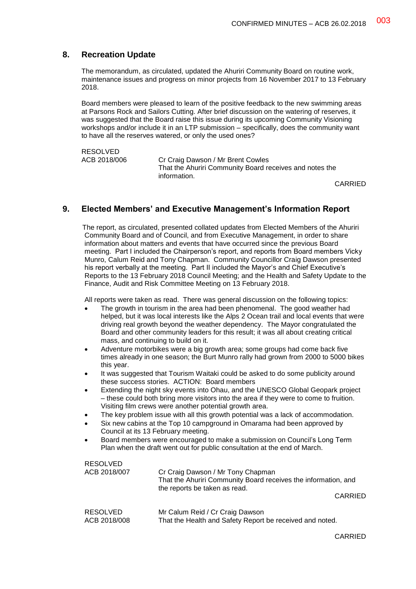### **8. Recreation Update**

The memorandum, as circulated, updated the Ahuriri Community Board on routine work, maintenance issues and progress on minor projects from 16 November 2017 to 13 February 2018.

Board members were pleased to learn of the positive feedback to the new swimming areas at Parsons Rock and Sailors Cutting. After brief discussion on the watering of reserves, it was suggested that the Board raise this issue during its upcoming Community Visioning workshops and/or include it in an LTP submission – specifically, does the community want to have all the reserves watered, or only the used ones?

RESOLVED<br>ACB 2018/006 Cr Craig Dawson / Mr Brent Cowles That the Ahuriri Community Board receives and notes the information.

CARRIED

#### **9. Elected Members' and Executive Management's Information Report**

The report, as circulated, presented collated updates from Elected Members of the Ahuriri Community Board and of Council, and from Executive Management, in order to share information about matters and events that have occurred since the previous Board meeting. Part I included the Chairperson's report, and reports from Board members Vicky Munro, Calum Reid and Tony Chapman. Community Councillor Craig Dawson presented his report verbally at the meeting. Part II included the Mayor's and Chief Executive's Reports to the 13 February 2018 Council Meeting; and the Health and Safety Update to the Finance, Audit and Risk Committee Meeting on 13 February 2018.

All reports were taken as read. There was general discussion on the following topics:

- The growth in tourism in the area had been phenomenal. The good weather had helped, but it was local interests like the Alps 2 Ocean trail and local events that were driving real growth beyond the weather dependency. The Mayor congratulated the Board and other community leaders for this result; it was all about creating critical mass, and continuing to build on it.
- Adventure motorbikes were a big growth area; some groups had come back five times already in one season; the Burt Munro rally had grown from 2000 to 5000 bikes this year.
- It was suggested that Tourism Waitaki could be asked to do some publicity around these success stories. ACTION: Board members
- Extending the night sky events into Ohau, and the UNESCO Global Geopark project – these could both bring more visitors into the area if they were to come to fruition. Visiting film crews were another potential growth area.
- The key problem issue with all this growth potential was a lack of accommodation.
- Six new cabins at the Top 10 campground in Omarama had been approved by Council at its 13 February meeting.
- Board members were encouraged to make a submission on Council's Long Term Plan when the draft went out for public consultation at the end of March.

| <b>RESOLVED</b><br>ACB 2018/007 | Cr Craig Dawson / Mr Tony Chapman<br>That the Ahuriri Community Board receives the information, and<br>the reports be taken as read. |
|---------------------------------|--------------------------------------------------------------------------------------------------------------------------------------|
|                                 | <b>CARRIED</b>                                                                                                                       |
| <b>RESOLVED</b><br>ACB 2018/008 | Mr Calum Reid / Cr Craig Dawson<br>That the Health and Safety Report be received and noted.                                          |